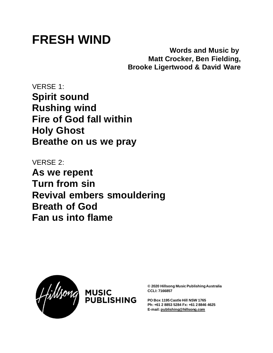## **FRESH WIND**

**Words and Music by Matt Crocker, Ben Fielding, Brooke Ligertwood & David Ware**

VERSE 1: **Spirit sound Rushing wind Fire of God fall within Holy Ghost Breathe on us we pray**

VERSE 2: **As we repent Turn from sin Revival embers smouldering Breath of God Fan us into flame**





**© 2020 Hillsong Music Publishing Australia CCLI: 7166857**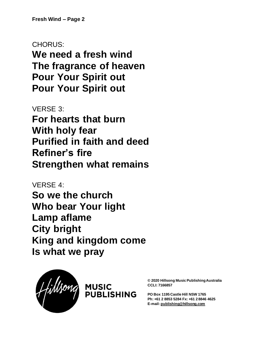## CHORUS:

**We need a fresh wind The fragrance of heaven Pour Your Spirit out Pour Your Spirit out**

VERSE 3: **For hearts that burn With holy fear Purified in faith and deed Refiner's fire Strengthen what remains**

VERSE 4: **So we the church Who bear Your light Lamp aflame City bright King and kingdom come Is what we pray**





**© 2020 Hillsong Music Publishing Australia CCLI: 7166857**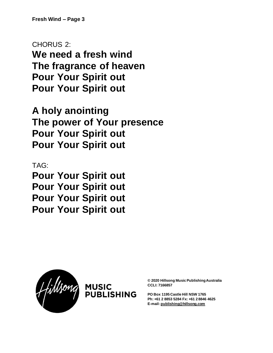CHORUS 2:

**We need a fresh wind The fragrance of heaven Pour Your Spirit out Pour Your Spirit out**

**A holy anointing The power of Your presence Pour Your Spirit out Pour Your Spirit out**

TAG: **Pour Your Spirit out Pour Your Spirit out Pour Your Spirit out Pour Your Spirit out**





**© 2020 Hillsong Music Publishing Australia CCLI: 7166857**